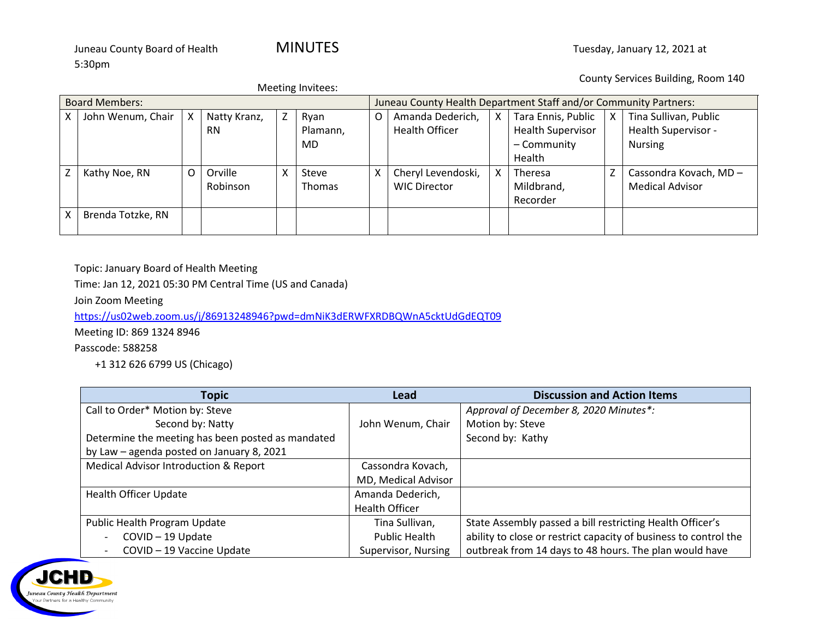County Services Building, Room 140

| Meeting Invitees:        |                   |   |              |   |                                                                  |   |                       |   |                          |   |                        |
|--------------------------|-------------------|---|--------------|---|------------------------------------------------------------------|---|-----------------------|---|--------------------------|---|------------------------|
| <b>Board Members:</b>    |                   |   |              |   | Juneau County Health Department Staff and/or Community Partners: |   |                       |   |                          |   |                        |
|                          | John Wenum, Chair | X | Natty Kranz, | Z | Ryan                                                             | O | Amanda Dederich,      | X | Tara Ennis, Public       | X | Tina Sullivan, Public  |
|                          |                   |   | <b>RN</b>    |   | Plamann,                                                         |   | <b>Health Officer</b> |   | <b>Health Supervisor</b> |   | Health Supervisor -    |
|                          |                   |   |              |   | <b>MD</b>                                                        |   |                       |   | - Community              |   | <b>Nursing</b>         |
|                          |                   |   |              |   |                                                                  |   |                       |   | Health                   |   |                        |
| $\overline{\phantom{a}}$ | Kathy Noe, RN     | O | Orville      | x | Steve                                                            | Χ | Cheryl Levendoski,    |   | Theresa                  |   | Cassondra Kovach, MD-  |
|                          |                   |   | Robinson     |   | <b>Thomas</b>                                                    |   | <b>WIC Director</b>   |   | Mildbrand,               |   | <b>Medical Advisor</b> |
|                          |                   |   |              |   |                                                                  |   |                       |   | Recorder                 |   |                        |
| X.                       | Brenda Totzke, RN |   |              |   |                                                                  |   |                       |   |                          |   |                        |
|                          |                   |   |              |   |                                                                  |   |                       |   |                          |   |                        |

Topic: January Board of Health Meeting

Time: Jan 12, 2021 05:30 PM Central Time (US and Canada)

Join Zoom Meeting

<https://us02web.zoom.us/j/86913248946?pwd=dmNiK3dERWFXRDBQWnA5cktUdGdEQT09>

Meeting ID: 869 1324 8946

Passcode: 588258

+1 312 626 6799 US (Chicago)

| <b>Topic</b>                                      | <b>Lead</b>          | <b>Discussion and Action Items</b>                               |
|---------------------------------------------------|----------------------|------------------------------------------------------------------|
| Call to Order* Motion by: Steve                   |                      | Approval of December 8, 2020 Minutes*:                           |
| Second by: Natty                                  | John Wenum, Chair    | Motion by: Steve                                                 |
| Determine the meeting has been posted as mandated |                      | Second by: Kathy                                                 |
| by Law - agenda posted on January 8, 2021         |                      |                                                                  |
| Medical Advisor Introduction & Report             | Cassondra Kovach,    |                                                                  |
|                                                   | MD, Medical Advisor  |                                                                  |
| <b>Health Officer Update</b>                      | Amanda Dederich,     |                                                                  |
|                                                   | Health Officer       |                                                                  |
| Public Health Program Update                      | Tina Sullivan,       | State Assembly passed a bill restricting Health Officer's        |
| COVID-19 Update                                   | <b>Public Health</b> | ability to close or restrict capacity of business to control the |
| COVID - 19 Vaccine Update                         | Supervisor, Nursing  | outbreak from 14 days to 48 hours. The plan would have           |

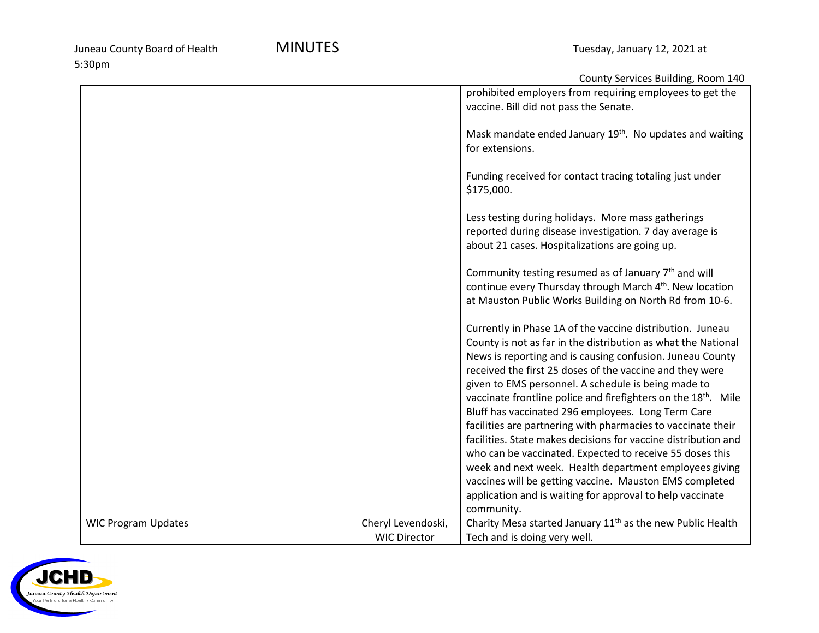|                            |                     | County Services Building, Room 140                                         |
|----------------------------|---------------------|----------------------------------------------------------------------------|
|                            |                     | prohibited employers from requiring employees to get the                   |
|                            |                     | vaccine. Bill did not pass the Senate.                                     |
|                            |                     |                                                                            |
|                            |                     | Mask mandate ended January 19th. No updates and waiting                    |
|                            |                     | for extensions.                                                            |
|                            |                     |                                                                            |
|                            |                     | Funding received for contact tracing totaling just under                   |
|                            |                     |                                                                            |
|                            |                     | \$175,000.                                                                 |
|                            |                     |                                                                            |
|                            |                     | Less testing during holidays. More mass gatherings                         |
|                            |                     | reported during disease investigation. 7 day average is                    |
|                            |                     | about 21 cases. Hospitalizations are going up.                             |
|                            |                     |                                                                            |
|                            |                     | Community testing resumed as of January $7th$ and will                     |
|                            |                     | continue every Thursday through March 4 <sup>th</sup> . New location       |
|                            |                     | at Mauston Public Works Building on North Rd from 10-6.                    |
|                            |                     |                                                                            |
|                            |                     | Currently in Phase 1A of the vaccine distribution. Juneau                  |
|                            |                     | County is not as far in the distribution as what the National              |
|                            |                     | News is reporting and is causing confusion. Juneau County                  |
|                            |                     | received the first 25 doses of the vaccine and they were                   |
|                            |                     | given to EMS personnel. A schedule is being made to                        |
|                            |                     |                                                                            |
|                            |                     | vaccinate frontline police and firefighters on the 18 <sup>th</sup> . Mile |
|                            |                     | Bluff has vaccinated 296 employees. Long Term Care                         |
|                            |                     | facilities are partnering with pharmacies to vaccinate their               |
|                            |                     | facilities. State makes decisions for vaccine distribution and             |
|                            |                     | who can be vaccinated. Expected to receive 55 doses this                   |
|                            |                     | week and next week. Health department employees giving                     |
|                            |                     | vaccines will be getting vaccine. Mauston EMS completed                    |
|                            |                     | application and is waiting for approval to help vaccinate                  |
|                            |                     | community.                                                                 |
| <b>WIC Program Updates</b> | Cheryl Levendoski,  | Charity Mesa started January 11 <sup>th</sup> as the new Public Health     |
|                            | <b>WIC Director</b> | Tech and is doing very well.                                               |